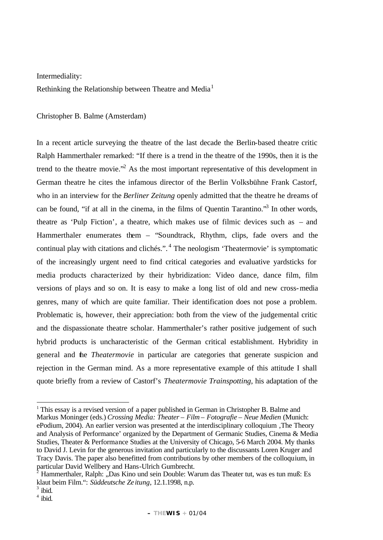Intermediality:

Rethinking the Relationship between Theatre and Media<sup>1</sup>

Christopher B. Balme (Amsterdam)

In a recent article surveying the theatre of the last decade the Berlin-based theatre critic Ralph Hammerthaler remarked: "If there is a trend in the theatre of the 1990s, then it is the trend to the theatre movie.<sup> $\cdot$ 2</sup> As the most important representative of this development in German theatre he cites the infamous director of the Berlin Volksbühne Frank Castorf, who in an interview for the *Berliner Zeitung* openly admitted that the theatre he dreams of can be found, "if at all in the cinema, in the films of Quentin Tarantino."<sup>3</sup> In other words, theatre as 'Pulp Fiction', a theatre, which makes use of filmic devices such as – and Hammerthaler enumerates them – "Soundtrack, Rhythm, clips, fade overs and the continual play with citations and clichés.".<sup>4</sup> The neologism 'Theatermovie' is symptomatic of the increasingly urgent need to find critical categories and evaluative yardsticks for media products characterized by their hybridization: Video dance, dance film, film versions of plays and so on. It is easy to make a long list of old and new cross-media genres, many of which are quite familiar. Their identification does not pose a problem. Problematic is, however, their appreciation: both from the view of the judgemental critic and the dispassionate theatre scholar. Hammerthaler's rather positive judgement of such hybrid products is uncharacteristic of the German critical establishment. Hybridity in general and the *Theatermovie* in particular are categories that generate suspicion and rejection in the German mind. As a more representative example of this attitude I shall quote briefly from a review of Castorf's *Theatermovie Trainspotting*, his adaptation of the

l

 $1$ <sup>1</sup> This essay is a revised version of a paper published in German in Christopher B. Balme and Markus Moninger (eds.) *Crossing Media: Theater – Film – Fotografie – Neue Medien* (Munich: ePodium, 2004). An earlier version was presented at the interdisciplinary colloquium . The Theory and Analysis of Performance' organized by the Department of Germanic Studies, Cinema & Media Studies, Theater & Performance Studies at the University of Chicago, 5-6 March 2004. My thanks to David J. Levin for the generous invitation and particularly to the discussants Loren Kruger and Tracy Davis. The paper also benefitted from contributions by other members of the colloquium, in particular David Wellbery and Hans-Ulrich Gumbrecht.

 $\overline{2}$ Hammerthaler, Ralph: "Das Kino und sein Double: Warum das Theater tut, was es tun muß: Es klaut beim Film.": *Süddeutsche Ze itung*, 12.1.1998, n.p.

 $3$  ibid.

<sup>4</sup> ibid.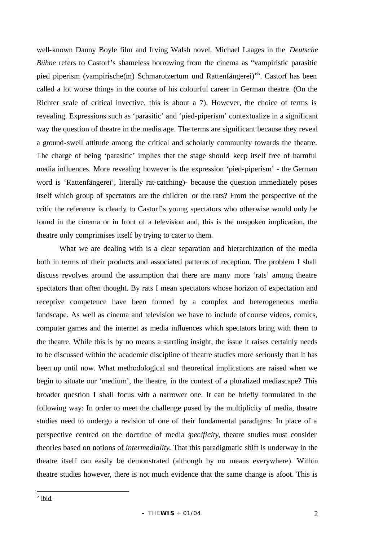well-known Danny Boyle film and Irving Walsh novel. Michael Laages in the *Deutsche Bühne* refers to Castorf's shameless borrowing from the cinema as "vampiristic parasitic pied piperism (vampirische(m) Schmarotzertum und Rattenfängerei)"<sup>5</sup>. Castorf has been called a lot worse things in the course of his colourful career in German theatre. (On the Richter scale of critical invective, this is about a 7). However, the choice of terms is revealing. Expressions such as 'parasitic' and 'pied-piperism' contextualize in a significant way the question of theatre in the media age. The terms are significant because they reveal a ground-swell attitude among the critical and scholarly community towards the theatre. The charge of being 'parasitic' implies that the stage should keep itself free of harmful media influences. More revealing however is the expression 'pied-piperism' - the German word is 'Rattenfängerei', literally rat-catching)- because the question immediately poses itself which group of spectators are the children or the rats? From the perspective of the critic the reference is clearly to Castorf's young spectators who otherwise would only be found in the cinema or in front of a television and, this is the unspoken implication, the theatre only comprimises itself by trying to cater to them.

What we are dealing with is a clear separation and hierarchization of the media both in terms of their products and associated patterns of reception. The problem I shall discuss revolves around the assumption that there are many more 'rats' among theatre spectators than often thought. By rats I mean spectators whose horizon of expectation and receptive competence have been formed by a complex and heterogeneous media landscape. As well as cinema and television we have to include of course videos, comics, computer games and the internet as media influences which spectators bring with them to the theatre. While this is by no means a startling insight, the issue it raises certainly needs to be discussed within the academic discipline of theatre studies more seriously than it has been up until now. What methodological and theoretical implications are raised when we begin to situate our 'medium', the theatre, in the context of a pluralized mediascape? This broader question I shall focus with a narrower one. It can be briefly formulated in the following way: In order to meet the challenge posed by the multiplicity of media, theatre studies need to undergo a revision of one of their fundamental paradigms: In place of a perspective centred on the doctrine of media s*pecificity*, theatre studies must consider theories based on notions of *intermediality*. That this paradigmatic shift is underway in the theatre itself can easily be demonstrated (although by no means everywhere). Within theatre studies however, there is not much evidence that the same change is afoot. This is

 $\frac{1}{5}$  ibid.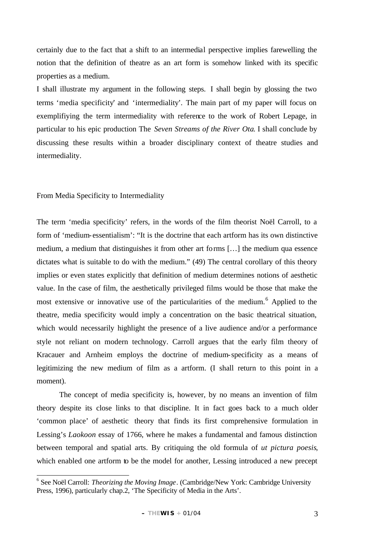certainly due to the fact that a shift to an intermedial perspective implies farewelling the notion that the definition of theatre as an art form is somehow linked with its specific properties as a medium.

I shall illustrate my argument in the following steps. I shall begin by glossing the two terms 'media specificity' and 'intermediality'. The main part of my paper will focus on exemplifiying the term intermediality with reference to the work of Robert Lepage, in particular to his epic production The *Seven Streams of the River Ota*. I shall conclude by discussing these results within a broader disciplinary context of theatre studies and intermediality.

#### From Media Specificity to Intermediality

l

The term 'media specificity' refers, in the words of the film theorist Noël Carroll, to a form of 'medium-essentialism': "It is the doctrine that each artform has its own distinctive medium, a medium that distinguishes it from other art forms […] the medium qua essence dictates what is suitable to do with the medium." (49) The central corollary of this theory implies or even states explicitly that definition of medium determines notions of aesthetic value. In the case of film, the aesthetically privileged films would be those that make the most extensive or innovative use of the particularities of the medium.<sup>6</sup> Applied to the theatre, media specificity would imply a concentration on the basic theatrical situation, which would necessarily highlight the presence of a live audience and/or a performance style not reliant on modern technology. Carroll argues that the early film theory of Kracauer and Arnheim employs the doctrine of medium-specificity as a means of legitimizing the new medium of film as a artform. (I shall return to this point in a moment).

The concept of media specificity is, however, by no means an invention of film theory despite its close links to that discipline. It in fact goes back to a much older 'common place' of aesthetic theory that finds its first comprehensive formulation in Lessing's *Laokoon* essay of 1766, where he makes a fundamental and famous distinction between temporal and spatial arts. By critiquing the old formula of *ut pictura poesis*, which enabled one artform to be the model for another, Lessing introduced a new precept

<sup>&</sup>lt;sup>6</sup> See Noël Carroll: *Theorizing the Moving Image*. (Cambridge/New York: Cambridge University Press, 1996), particularly chap.2, 'The Specificity of Media in the Arts'.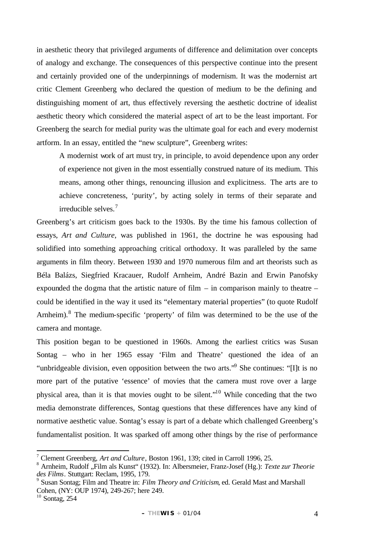in aesthetic theory that privileged arguments of difference and delimitation over concepts of analogy and exchange. The consequences of this perspective continue into the present and certainly provided one of the underpinnings of modernism. It was the modernist art critic Clement Greenberg who declared the question of medium to be the defining and distinguishing moment of art, thus effectively reversing the aesthetic doctrine of idealist aesthetic theory which considered the material aspect of art to be the least important. For Greenberg the search for medial purity was the ultimate goal for each and every modernist artform. In an essay, entitled the "new sculpture", Greenberg writes:

A modernist work of art must try, in principle, to avoid dependence upon any order of experience not given in the most essentially construed nature of its medium. This means, among other things, renouncing illusion and explicitness. The arts are to achieve concreteness, 'purity', by acting solely in terms of their separate and irreducible selves.<sup>7</sup>

Greenberg's art criticism goes back to the 1930s. By the time his famous collection of essays, *Art and Culture*, was published in 1961, the doctrine he was espousing had solidified into something approaching critical orthodoxy. It was paralleled by the same arguments in film theory. Between 1930 and 1970 numerous film and art theorists such as Béla Balázs, Siegfried Kracauer, Rudolf Arnheim, André Bazin and Erwin Panofsky expounded the dogma that the artistic nature of film – in comparison mainly to theatre – could be identified in the way it used its "elementary material properties" (to quote Rudolf Arnheim).<sup>8</sup> The medium-specific 'property' of film was determined to be the use of the camera and montage.

This position began to be questioned in 1960s. Among the earliest critics was Susan Sontag – who in her 1965 essay 'Film and Theatre' questioned the idea of an "unbridgeable division, even opposition between the two arts." She continues: "[I]t is no more part of the putative 'essence' of movies that the camera must rove over a large physical area, than it is that movies ought to be silent."<sup>10</sup> While conceding that the two media demonstrate differences, Sontag questions that these differences have any kind of normative aesthetic value. Sontag's essay is part of a debate which challenged Greenberg's fundamentalist position. It was sparked off among other things by the rise of performance

l

<sup>7</sup> Clement Greenberg, *Art and Culture*, Boston 1961, 139; cited in Carroll 1996, 25.

<sup>&</sup>lt;sup>8</sup> Arnheim, Rudolf "Film als Kunst" (1932). In: Albersmeier, Franz-Josef (Hg.): *Texte zur Theorie des Films*. Stuttgart: Reclam, 1995, 179.

<sup>9</sup> Susan Sontag; Film and Theatre in: *Film Theory and Criticism*, ed. Gerald Mast and Marshall Cohen, (NY: OUP 1974), 249-267; here 249.

 $10$  Sontag, 254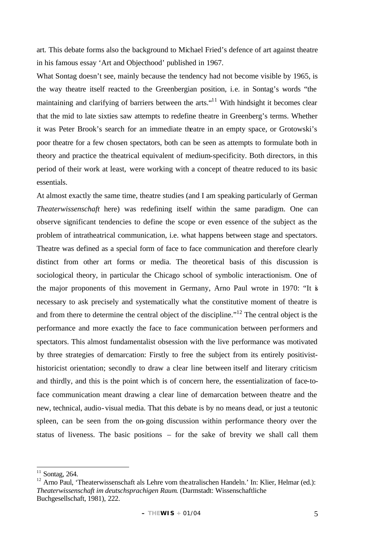art. This debate forms also the background to Michael Fried's defence of art against theatre in his famous essay 'Art and Objecthood' published in 1967.

What Sontag doesn't see, mainly because the tendency had not become visible by 1965, is the way theatre itself reacted to the Greenbergian position, i.e. in Sontag's words "the maintaining and clarifying of barriers between the arts."<sup>11</sup> With hindsight it becomes clear that the mid to late sixties saw attempts to redefine theatre in Greenberg's terms. Whether it was Peter Brook's search for an immediate theatre in an empty space, or Grotowski's poor theatre for a few chosen spectators, both can be seen as attempts to formulate both in theory and practice the theatrical equivalent of medium-specificity. Both directors, in this period of their work at least, were working with a concept of theatre reduced to its basic essentials.

At almost exactly the same time, theatre studies (and I am speaking particularly of German *Theaterwissenschaft* here) was redefining itself within the same paradigm. One can observe significant tendencies to define the scope or even essence of the subject as the problem of intratheatrical communication, i.e. what happens between stage and spectators. Theatre was defined as a special form of face to face communication and therefore clearly distinct from other art forms or media. The theoretical basis of this discussion is sociological theory, in particular the Chicago school of symbolic interactionism. One of the major proponents of this movement in Germany, Arno Paul wrote in 1970: "It is necessary to ask precisely and systematically what the constitutive moment of theatre is and from there to determine the central object of the discipline."<sup>12</sup> The central object is the performance and more exactly the face to face communication between performers and spectators. This almost fundamentalist obsession with the live performance was motivated by three strategies of demarcation: Firstly to free the subject from its entirely positivisthistoricist orientation; secondly to draw a clear line between itself and literary criticism and thirdly, and this is the point which is of concern here, the essentialization of face-toface communication meant drawing a clear line of demarcation between theatre and the new, technical, audio-visual media. That this debate is by no means dead, or just a teutonic spleen, can be seen from the on-going discussion within performance theory over the status of liveness. The basic positions – for the sake of brevity we shall call them

 $\overline{\phantom{a}}$ 

 $11$  Sontag, 264.

<sup>&</sup>lt;sup>12</sup> Arno Paul, 'Theaterwissenschaft als Lehre vom theatralischen Handeln.' In: Klier, Helmar (ed.): *Theaterwissenschaft im deutschsprachigen Raum*. (Darmstadt: Wissenschaftliche Buchgesellschaft, 1981), 222.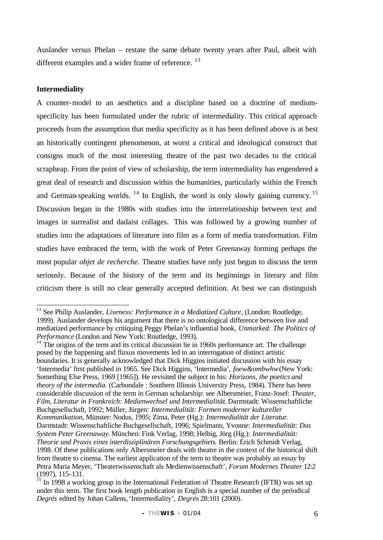Auslander versus Phelan – restate the same debate twenty years after Paul, albeit with different examples and a wider frame of reference.<sup>13</sup>

## **Intermediality**

A counter-model to an aesthetics and a discipline based on a doctrine of mediumspecificity has been formulated under the rubric of intermediality. This critical approach proceeds from the assumption that media specificity as it has been defined above is at best an historically contingent phenomenon, at worst a critical and ideological construct that consigns much of the most interesting theatre of the past two decades to the critical scrapheap. From the point of view of scholarship, the term intermediality has engendered a great deal of research and discussion within the humanities, particularly within the French and German-speaking worlds.  $14$  In English, the word is only slowly gaining currency.  $15$ Discussion began in the 1980s with studies into the interrelationship between text and images in surrealist and dadaist collages. This was followed by a growing number of studies into the adaptations of literature into film as a form of media transformation. Film studies have embraced the term, with the work of Peter Greenaway forming perhaps the most popular *objet de recherche*. Theatre studies have only just begun to discuss the term seriously. Because of the history of the term and its beginnings in literary and film criticism there is still no clear generally accepted definition. At best we can distinguish

j <sup>13</sup> See Philip Auslander, *Liveness: Performance in a Mediatized Culture*, (London: Routledge, 1999). Auslander develops his argument that there is no ontological difference between live and mediatized performance by critiquing Peggy Phelan's influential book, *Unmarked: The Politics of Performance* (London and New York: Routledge, 1993).

 $14$  The origins of the term and its critical discussion lie in 1960s performance art. The challenge posed by the happening and fluxus movements led to an interrogation of distinct artistic boundaries. It is generally acknowledged that Dick Higgins initiated discussion with his essay 'Intermedia' first published in 1965. See Dick Higgins, 'Intermedia', *foew&ombwhw* (New York: Something Else Press, 1969 [1965]). He revisited the subject in his: *Horizons, the poetics and theory of the intermedia.* (Carbondale : Southern Illinois University Press, 1984). There has been considerable discussion of the term in German scholarship: see Albersmeier, Franz-Josef: *Theater, Film, Literatur in Frankreich: Medienwechsel und Intermedialität*. Darmstadt: Wissenschaftliche Buchgesellschaft, 1992; Müller, Jürgen: *Intermedialität: Formen moderner kultureller Kommunikation*, Münster: Nodus, 1995; Zima, Peter (Hg.): *Intermedialität der Literatur.* Darmstadt: Wissenschaftliche Buchgesellschaft, 1996; Spielmann, Yvonne: *Intermedialität: Das System Peter Greenaway*. München: Fink Verlag, 1998; Helbig, Jörg (Hg.): *Intermedialität: Theorie und Praxis eines interdisziplinären Forschungsgebiets*. Berlin: Erich Schmidt Verlag, 1998. Of these publications only Albersmeier deals with theatre in the context of the historical shift from theatre to cinema. The earliest application of the term to theatre was probably an essay by Petra Maria Meyer, 'Theaterwissenschaft als Medienwissenschaft', *Forum Modernes Theater* 12:2 (1997), 115-131.

 $15$  In 1998 a working group in the International Federation of Theatre Research (IFTR) was set up under this term. The first book length publication in English is a special number of the periodical *Degrés* edited by Johan Callens, 'Intermediality', *Degrés* 28:101 (2000).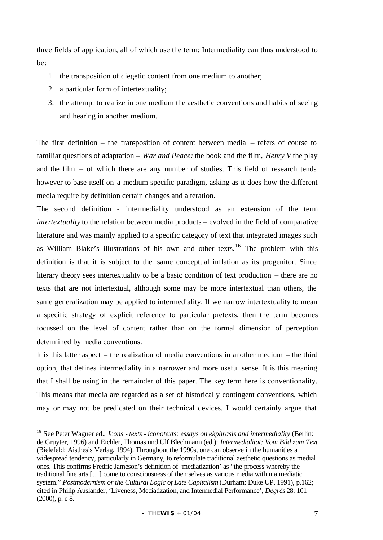three fields of application, all of which use the term: Intermediality can thus understood to be:

- 1. the transposition of diegetic content from one medium to another;
- 2. a particular form of intertextuality;

 $\overline{\phantom{a}}$ 

3. the attempt to realize in one medium the aesthetic conventions and habits of seeing and hearing in another medium.

The first definition – the transposition of content between media – refers of course to familiar questions of adaptation – *War and Peace:* the book and the film, *Henry V* the play and the film – of which there are any number of studies. This field of research tends however to base itself on a medium-specific paradigm, asking as it does how the different media require by definition certain changes and alteration.

The second definition - intermediality understood as an extension of the term *intertextuality* to the relation between media products – evolved in the field of comparative literature and was mainly applied to a specific category of text that integrated images such as William Blake's illustrations of his own and other texts.<sup>16</sup> The problem with this definition is that it is subject to the same conceptual inflation as its progenitor. Since literary theory sees intertextuality to be a basic condition of text production – there are no texts that are not intertextual, although some may be more intertextual than others, the same generalization may be applied to intermediality. If we narrow intertextuality to mean a specific strategy of explicit reference to particular pretexts, then the term becomes focussed on the level of content rather than on the formal dimension of perception determined by media conventions.

It is this latter aspect – the realization of media conventions in another medium – the third option, that defines intermediality in a narrower and more useful sense. It is this meaning that I shall be using in the remainder of this paper. The key term here is conventionality. This means that media are regarded as a set of historically contingent conventions, which may or may not be predicated on their technical devices. I would certainly argue that

<sup>16</sup> See Peter Wagner ed., *Icons - texts - iconotexts: essays on ekphrasis and intermediality* (Berlin: de Gruyter, 1996) and Eichler, Thomas und Ulf Blechmann (ed.): *Intermedialität: Vom Bild zum Text*, (Bielefeld: Aisthesis Verlag, 1994). Throughout the 1990s, one can observe in the humanities a widespread tendency, particularly in Germany, to reformulate traditional aesthetic questions as medial ones. This confirms Fredric Jameson's definition of 'mediatization' as "the process whereby the traditional fine arts […] come to consciousness of themselves as various media within a mediatic system." *Postmodernism or the Cultural Logic of Late Capitalism* (Durham: Duke UP, 1991), p.162; cited in Philip Auslander, 'Liveness, Mediatization, and Intermedial Performance', *Degrés* 28: 101 (2000), p. e 8.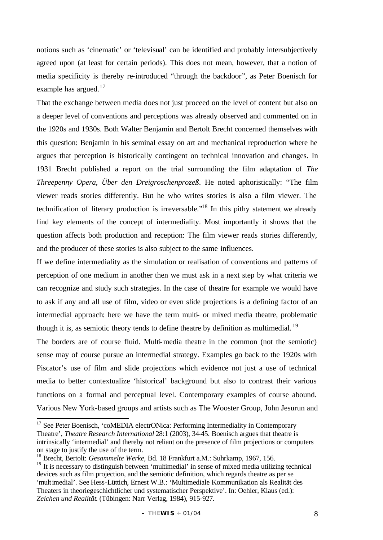notions such as 'cinematic' or 'televisual' can be identified and probably intersubjectively agreed upon (at least for certain periods). This does not mean, however, that a notion of media specificity is thereby re-introduced "through the backdoor", as Peter Boenisch for example has argued. $17$ 

That the exchange between media does not just proceed on the level of content but also on a deeper level of conventions and perceptions was already observed and commented on in the 1920s and 1930s. Both Walter Benjamin and Bertolt Brecht concerned themselves with this question: Benjamin in his seminal essay on art and mechanical reproduction where he argues that perception is historically contingent on technical innovation and changes. In 1931 Brecht published a report on the trial surrounding the film adaptation of *The Threepenny Opera*, *Über den Dreigroschenprozeß*. He noted aphoristically: "The film viewer reads stories differently. But he who writes stories is also a film viewer. The technification of literary production is irreversable."<sup>18</sup> In this pithy statement we already find key elements of the concept of intermediality. Most importantly it shows that the question affects both production and reception: The film viewer reads stories differently, and the producer of these stories is also subject to the same influences.

If we define intermediality as the simulation or realisation of conventions and patterns of perception of one medium in another then we must ask in a next step by what criteria we can recognize and study such strategies. In the case of theatre for example we would have to ask if any and all use of film, video or even slide projections is a defining factor of an intermedial approach: here we have the term multi- or mixed media theatre, problematic though it is, as semiotic theory tends to define theatre by definition as multimedial.  $19$ 

The borders are of course fluid. Multi-media theatre in the common (not the semiotic) sense may of course pursue an intermedial strategy. Examples go back to the 1920s with Piscator's use of film and slide projections which evidence not just a use of technical media to better contextualize 'historical' background but also to contrast their various functions on a formal and perceptual level. Contemporary examples of course abound. Various New York-based groups and artists such as The Wooster Group, John Jesurun and

 $\overline{\phantom{a}}$ 

<sup>&</sup>lt;sup>17</sup> See Peter Boenisch, 'coMEDIA electrONica: Performing Intermediality in Contemporary Theatre', *Theatre Research International* 28:1 (2003), 34-45. Boenisch argues that theatre is intrinsically 'intermedial' and thereby not reliant on the presence of film projections or computers on stage to justify the use of the term.

<sup>18</sup> Brecht, Bertolt: *Gesammelte Werke*, Bd. 18 Frankfurt a.M.: Suhrkamp, 1967, 156.

<sup>&</sup>lt;sup>19</sup> It is necessary to distinguish between 'multimedial' in sense of mixed media utilizing technical devices such as film projection, and the semiotic definition, which regards theatre as per se 'multimedial'. See Hess-Lüttich, Ernest W.B.: 'Multimediale Kommunikation als Realität des Theaters in theoriegeschichtlicher und systematischer Perspektive'. In: Oehler, Klaus (ed.): *Zeichen und Realität*. (Tübingen: Narr Verlag, 1984), 915-927.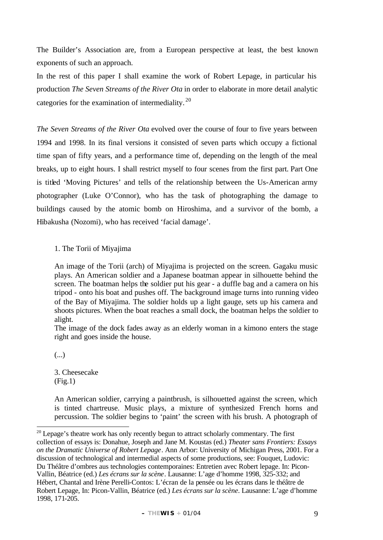The Builder's Association are, from a European perspective at least, the best known exponents of such an approach.

In the rest of this paper I shall examine the work of Robert Lepage, in particular his production *The Seven Streams of the River Ota* in order to elaborate in more detail analytic categories for the examination of intermediality. <sup>20</sup>

*The Seven Streams of the River Ota* evolved over the course of four to five years between 1994 and 1998. In its final versions it consisted of seven parts which occupy a fictional time span of fifty years, and a performance time of, depending on the length of the meal breaks, up to eight hours. I shall restrict myself to four scenes from the first part. Part One is titled 'Moving Pictures' and tells of the relationship between the Us-American army photographer (Luke O'Connor), who has the task of photographing the damage to buildings caused by the atomic bomb on Hiroshima, and a survivor of the bomb, a Hibakusha (Nozomi), who has received 'facial damage'.

## 1. The Torii of Miyajima

An image of the Torii (arch) of Miyajima is projected on the screen. Gagaku music plays. An American soldier and a Japanese boatman appear in silhouette behind the screen. The boatman helps the soldier put his gear - a duffle bag and a camera on his tripod - onto his boat and pushes off. The background image turns into running video of the Bay of Miyajima. The soldier holds up a light gauge, sets up his camera and shoots pictures. When the boat reaches a small dock, the boatman helps the soldier to alight.

The image of the dock fades away as an elderly woman in a kimono enters the stage right and goes inside the house.

(...)

l

3. Cheesecake  $(Fig.1)$ 

An American soldier, carrying a paintbrush, is silhouetted against the screen, which is tinted chartreuse. Music plays, a mixture of synthesized French horns and percussion. The soldier begins to 'paint' the screen with his brush. A photograph of

<sup>&</sup>lt;sup>20</sup> Lepage's theatre work has only recently begun to attract scholarly commentary. The first collection of essays is: Donahue, Joseph and Jane M. Koustas (ed.) *Theater sans Frontiers: Essays on the Dramatic Universe of Robert Lepage*. Ann Arbor: University of Michigan Press, 2001. For a discussion of technological and intermedial aspects of some productions, see: Fouquet, Ludovic: Du Théâtre d'ombres aus technologies contemporaines: Entretien avec Robert lepage. In: Picon-Vallin, Béatrice (ed.) *Les écrans sur la scène*. Lausanne: L'age d'homme 1998, 325-332; and Hébert, Chantal and Irène Perelli-Contos: L'écran de la pensée ou les écrans dans le théâtre de Robert Lepage, In: Picon-Vallin, Béatrice (ed.) *Les écrans sur la scène*. Lausanne: L'age d'homme 1998, 171-205.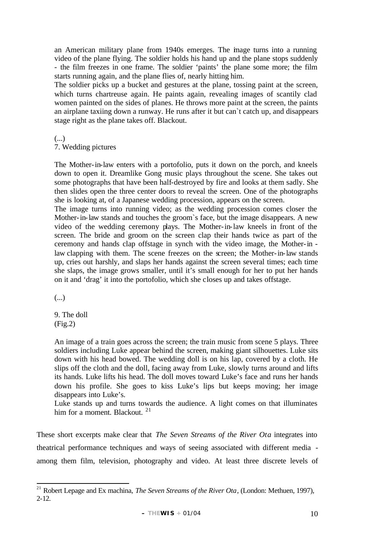an American military plane from 1940s emerges. The image turns into a running video of the plane flying. The soldier holds his hand up and the plane stops suddenly - the film freezes in one frame. The soldier 'paints' the plane some more; the film starts running again, and the plane flies of, nearly hitting him.

The soldier picks up a bucket and gestures at the plane, tossing paint at the screen, which turns chartreuse again. He paints again, revealing images of scantily clad women painted on the sides of planes. He throws more paint at the screen, the paints an airplane taxiing down a runway. He runs after it but can`t catch up, and disappears stage right as the plane takes off. Blackout.

(...)

7. Wedding pictures

The Mother-in-law enters with a portofolio, puts it down on the porch, and kneels down to open it. Dreamlike Gong music plays throughout the scene. She takes out some photographs that have been half-destroyed by fire and looks at them sadly. She then slides open the three center doors to reveal the screen. One of the photographs she is looking at, of a Japanese wedding procession, appears on the screen.

The image turns into running video; as the wedding procession comes closer the Mother-in-law stands and touches the groom`s face, but the image disappears. A new video of the wedding ceremony plays. The Mother-in-law kneels in front of the screen. The bride and groom on the screen clap their hands twice as part of the ceremony and hands clap offstage in synch with the video image, the Mother-in law clapping with them. The scene freezes on the screen; the Mother-in-law stands up, cries out harshly, and slaps her hands against the screen several times; each time she slaps, the image grows smaller, until it's small enough for her to put her hands on it and 'drag' it into the portofolio, which she closes up and takes offstage.

(...)

9. The doll (Fig.2)

An image of a train goes across the screen; the train music from scene 5 plays. Three soldiers including Luke appear behind the screen, making giant silhouettes. Luke sits down with his head bowed. The wedding doll is on his lap, covered by a cloth. He slips off the cloth and the doll, facing away from Luke, slowly turns around and lifts its hands. Luke lifts his head. The doll moves toward Luke's face and runs her hands down his profile. She goes to kiss Luke's lips but keeps moving; her image disappears into Luke's.

Luke stands up and turns towards the audience. A light comes on that illuminates him for a moment. Blackout.<sup>21</sup>

These short excerpts make clear that *The Seven Streams of the River Ota* integrates into theatrical performance techniques and ways of seeing associated with different media among them film, television, photography and video. At least three discrete levels of

j <sup>21</sup> Robert Lepage and Ex machina, *The Seven Streams of the River Ota*, (London: Methuen, 1997), 2-12.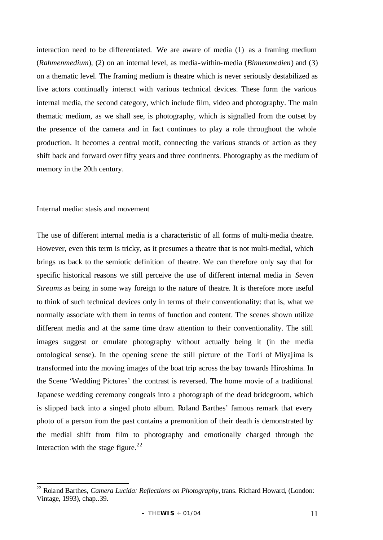interaction need to be differentiated. We are aware of media (1) as a framing medium (*Rahmenmedium*), (2) on an internal level, as media-within-media (*Binnenmedien*) and (3) on a thematic level. The framing medium is theatre which is never seriously destabilized as live actors continually interact with various technical devices. These form the various internal media, the second category, which include film, video and photography. The main thematic medium, as we shall see, is photography, which is signalled from the outset by the presence of the camera and in fact continues to play a role throughout the whole production. It becomes a central motif, connecting the various strands of action as they shift back and forward over fifty years and three continents. Photography as the medium of memory in the 20th century.

# Internal media: stasis and movement

j

The use of different internal media is a characteristic of all forms of multi-media theatre. However, even this term is tricky, as it presumes a theatre that is not multi-medial, which brings us back to the semiotic definition of theatre. We can therefore only say that for specific historical reasons we still perceive the use of different internal media in *Seven Streams* as being in some way foreign to the nature of theatre. It is therefore more useful to think of such technical devices only in terms of their conventionality: that is, what we normally associate with them in terms of function and content. The scenes shown utilize different media and at the same time draw attention to their conventionality. The still images suggest or emulate photography without actually being it (in the media ontological sense). In the opening scene the still picture of the Torii of Miyajima is transformed into the moving images of the boat trip across the bay towards Hiroshima. In the Scene 'Wedding Pictures' the contrast is reversed. The home movie of a traditional Japanese wedding ceremony congeals into a photograph of the dead bridegroom, which is slipped back into a singed photo album. Roland Barthes' famous remark that every photo of a person from the past contains a premonition of their death is demonstrated by the medial shift from film to photography and emotionally charged through the interaction with the stage figure.<sup>22</sup>

<sup>22</sup> Roland Barthes, *Camera Lucida: Reflections on Photography,* trans. Richard Howard, (London: Vintage, 1993), chap..39.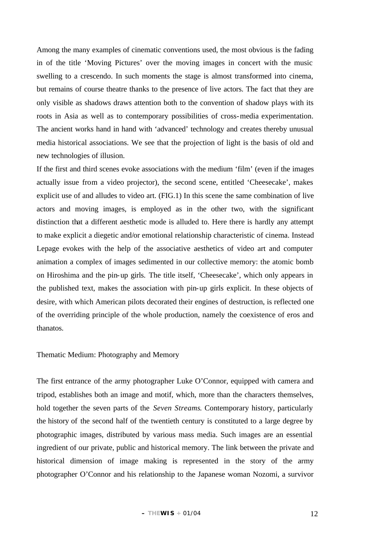Among the many examples of cinematic conventions used, the most obvious is the fading in of the title 'Moving Pictures' over the moving images in concert with the music swelling to a crescendo. In such moments the stage is almost transformed into cinema, but remains of course theatre thanks to the presence of live actors. The fact that they are only visible as shadows draws attention both to the convention of shadow plays with its roots in Asia as well as to contemporary possibilities of cross-media experimentation. The ancient works hand in hand with 'advanced' technology and creates thereby unusual media historical associations. We see that the projection of light is the basis of old and new technologies of illusion.

If the first and third scenes evoke associations with the medium 'film' (even if the images actually issue from a video projector), the second scene, entitled 'Cheesecake', makes explicit use of and alludes to video art. (FIG.1) In this scene the same combination of live actors and moving images, is employed as in the other two, with the significant distinction that a different aesthetic mode is alluded to. Here there is hardly any attempt to make explicit a diegetic and/or emotional relationship characteristic of cinema. Instead Lepage evokes with the help of the associative aesthetics of video art and computer animation a complex of images sedimented in our collective memory: the atomic bomb on Hiroshima and the pin-up girls. The title itself, 'Cheesecake', which only appears in the published text, makes the association with pin-up girls explicit. In these objects of desire, with which American pilots decorated their engines of destruction, is reflected one of the overriding principle of the whole production, namely the coexistence of eros and thanatos.

## Thematic Medium: Photography and Memory

The first entrance of the army photographer Luke O'Connor, equipped with camera and tripod, establishes both an image and motif, which, more than the characters themselves, hold together the seven parts of the *Seven Streams*. Contemporary history, particularly the history of the second half of the twentieth century is constituted to a large degree by photographic images, distributed by various mass media. Such images are an essential ingredient of our private, public and historical memory. The link between the private and historical dimension of image making is represented in the story of the army photographer O'Connor and his relationship to the Japanese woman Nozomi, a survivor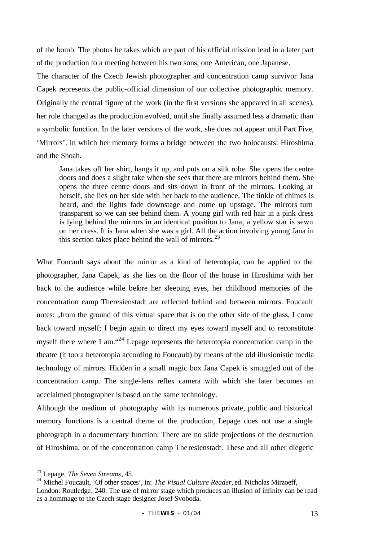of the bomb. The photos he takes which are part of his official mission lead in a later part of the production to a meeting between his two sons, one American, one Japanese.

The character of the Czech Jewish photographer and concentration camp survivor Jana Capek represents the public-official dimension of our collective photographic memory. Originally the central figure of the work (in the first versions she appeared in all scenes), her role changed as the production evolved, until she finally assumed less a dramatic than a symbolic function. In the later versions of the work, she does not appear until Part Five, 'Mirrors', in which her memory forms a bridge between the two holocausts: Hiroshima and the Shoah.

Jana takes off her shirt, hangs it up, and puts on a silk robe. She opens the centre doors and does a slight take when she sees that there are mirrors behind them. She opens the three centre doors and sits down in front of the mirrors. Looking at herself, she lies on her side with her back to the audience. The tinkle of chimes is heard, and the lights fade downstage and come up upstage. The mirrors turn transparent so we can see behind them. A young girl with red hair in a pink dress is lying behind the mirrors in an identical position to Jana; a yellow star is sewn on her dress. It is Jana when she was a girl. All the action involving young Jana in this section takes place behind the wall of mirrors. $^{23}$ 

What Foucault says about the mirror as a kind of heterotopia, can be applied to the photographer, Jana Capek, as she lies on the floor of the house in Hiroshima with her back to the audience while before her sleeping eyes, her childhood memories of the concentration camp Theresienstadt are reflected behind and between mirrors. Foucault notes: "from the ground of this virtual space that is on the other side of the glass, I come back toward myself; I begin again to direct my eyes toward myself and to reconstitute myself there where I am.<sup>"24</sup> Lepage represents the heterotopia concentration camp in the theatre (it too a heterotopia according to Foucault) by means of the old illusionistic media technology of mirrors. Hidden in a small magic box Jana Capek is smuggled out of the concentration camp. The single-lens reflex camera with which she later becomes an accclaimed photographer is based on the same technology.

Although the medium of photography with its numerous private, public and historical memory functions is a central theme of the production, Lepage does not use a single photograph in a documentary function. There are no slide projections of the destruction of Hiroshima, or of the concentration camp The resienstadt. These and all other diegetic

j

<sup>23</sup> Lepage, *The Seven Streams*, 45.

<sup>24</sup> Michel Foucault, 'Of other spaces', in: *The Visual Culture Reader,* ed. Nicholas Mirzoeff, London: Routledge, 240. The use of mirror stage which produces an illusion of infinity can be read as a hommage to the Czech stage designer Josef Svoboda.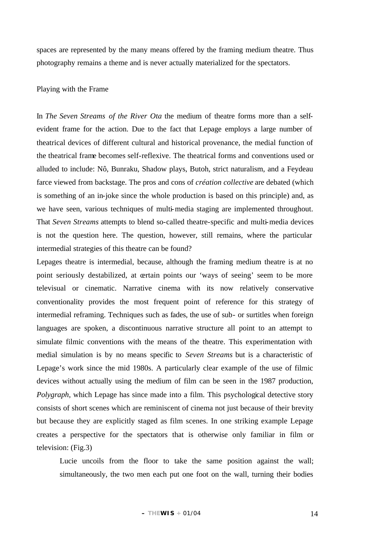spaces are represented by the many means offered by the framing medium theatre. Thus photography remains a theme and is never actually materialized for the spectators.

### Playing with the Frame

In *The Seven Streams of the River Ota* the medium of theatre forms more than a selfevident frame for the action. Due to the fact that Lepage employs a large number of theatrical devices of different cultural and historical provenance, the medial function of the theatrical frame becomes self-reflexive. The theatrical forms and conventions used or alluded to include: Nô, Bunraku, Shadow plays, Butoh, strict naturalism, and a Feydeau farce viewed from backstage. The pros and cons of *création collective* are debated (which is something of an in-joke since the whole production is based on this principle) and, as we have seen, various techniques of multi-media staging are implemented throughout. That *Seven Streams* attempts to blend so-called theatre-specific and multi-media devices is not the question here. The question, however, still remains, where the particular intermedial strategies of this theatre can be found?

Lepages theatre is intermedial, because, although the framing medium theatre is at no point seriously destabilized, at certain points our 'ways of seeing' seem to be more televisual or cinematic. Narrative cinema with its now relatively conservative conventionality provides the most frequent point of reference for this strategy of intermedial reframing. Techniques such as fades, the use of sub- or surtitles when foreign languages are spoken, a discontinuous narrative structure all point to an attempt to simulate filmic conventions with the means of the theatre. This experimentation with medial simulation is by no means specific to *Seven Streams* but is a characteristic of Lepage's work since the mid 1980s. A particularly clear example of the use of filmic devices without actually using the medium of film can be seen in the 1987 production, *Polygraph*, which Lepage has since made into a film. This psychological detective story consists of short scenes which are reminiscent of cinema not just because of their brevity but because they are explicitly staged as film scenes. In one striking example Lepage creates a perspective for the spectators that is otherwise only familiar in film or television: (Fig.3)

Lucie uncoils from the floor to take the same position against the wall; simultaneously, the two men each put one foot on the wall, turning their bodies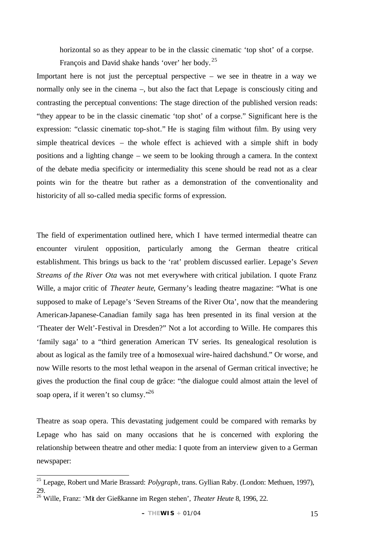horizontal so as they appear to be in the classic cinematic 'top shot' of a corpse.

François and David shake hands 'over' her body.<sup>25</sup>

Important here is not just the perceptual perspective – we see in theatre in a way we normally only see in the cinema –, but also the fact that Lepage is consciously citing and contrasting the perceptual conventions: The stage direction of the published version reads: "they appear to be in the classic cinematic 'top shot' of a corpse." Significant here is the expression: "classic cinematic top-shot." He is staging film without film. By using very simple theatrical devices – the whole effect is achieved with a simple shift in body positions and a lighting change – we seem to be looking through a camera. In the context of the debate media specificity or intermediality this scene should be read not as a clear points win for the theatre but rather as a demonstration of the conventionality and historicity of all so-called media specific forms of expression.

The field of experimentation outlined here, which I have termed intermedial theatre can encounter virulent opposition, particularly among the German theatre critical establishment. This brings us back to the 'rat' problem discussed earlier. Lepage's *Seven Streams of the River Ota* was not met everywhere with critical jubilation. I quote Franz Wille, a major critic of *Theater heute*, Germany's leading theatre magazine: "What is one supposed to make of Lepage's 'Seven Streams of the River Ota', now that the meandering American-Japanese-Canadian family saga has been presented in its final version at the 'Theater der Welt'-Festival in Dresden?" Not a lot according to Wille. He compares this 'family saga' to a "third generation American TV series. Its genealogical resolution is about as logical as the family tree of a homosexual wire-haired dachshund." Or worse, and now Wille resorts to the most lethal weapon in the arsenal of German critical invective; he gives the production the final coup de grâce: "the dialogue could almost attain the level of soap opera, if it weren't so clumsy."<sup>26</sup>

Theatre as soap opera. This devastating judgement could be compared with remarks by Lepage who has said on many occasions that he is concerned with exploring the relationship between theatre and other media: I quote from an interview given to a German newspaper:

j <sup>25</sup> Lepage, Robert und Marie Brassard: *Polygraph*, trans. Gyllian Raby. (London: Methuen, 1997), 29.

<sup>26</sup> Wille, Franz: 'Mit der Gießkanne im Regen stehen', *Theater Heute* 8, 1996, 22.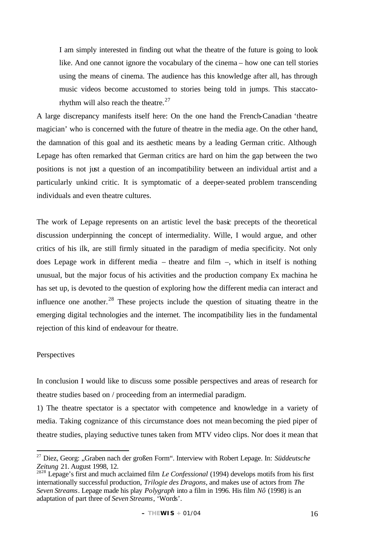I am simply interested in finding out what the theatre of the future is going to look like. And one cannot ignore the vocabulary of the cinema – how one can tell stories using the means of cinema. The audience has this knowledge after all, has through music videos become accustomed to stories being told in jumps. This staccatorhythm will also reach the theatre. $27$ 

A large discrepancy manifests itself here: On the one hand the French-Canadian 'theatre magician' who is concerned with the future of theatre in the media age. On the other hand, the damnation of this goal and its aesthetic means by a leading German critic. Although Lepage has often remarked that German critics are hard on him the gap between the two positions is not just a question of an incompatibility between an individual artist and a particularly unkind critic. It is symptomatic of a deeper-seated problem transcending individuals and even theatre cultures.

The work of Lepage represents on an artistic level the basic precepts of the theoretical discussion underpinning the concept of intermediality. Wille, I would argue, and other critics of his ilk, are still firmly situated in the paradigm of media specificity. Not only does Lepage work in different media – theatre and film –, which in itself is nothing unusual, but the major focus of his activities and the production company Ex machina he has set up, is devoted to the question of exploring how the different media can interact and influence one another.<sup>28</sup> These projects include the question of situating theatre in the emerging digital technologies and the internet. The incompatibility lies in the fundamental rejection of this kind of endeavour for theatre.

#### **Perspectives**

l

In conclusion I would like to discuss some possible perspectives and areas of research for theatre studies based on / proceeding from an intermedial paradigm.

1) The theatre spectator is a spectator with competence and knowledge in a variety of media. Taking cognizance of this circumstance does not mean becoming the pied piper of theatre studies, playing seductive tunes taken from MTV video clips. Nor does it mean that

<sup>&</sup>lt;sup>27</sup> Diez, Georg: "Graben nach der großen Form". Interview with Robert Lepage. In: *Süddeutsche Zeitung* 21. August 1998, 12.

<sup>2828</sup> Lepage's first and much acclaimed film *Le Confessional* (1994) develops motifs from his first internationally successful production, *Trilogie des Dragons*, and makes use of actors from *The Seven Streams*. Lepage made his play *Polygraph* into a film in 1996. His film *Nô* (1998) is an adaptation of part three of *Seven Streams*, 'Words'.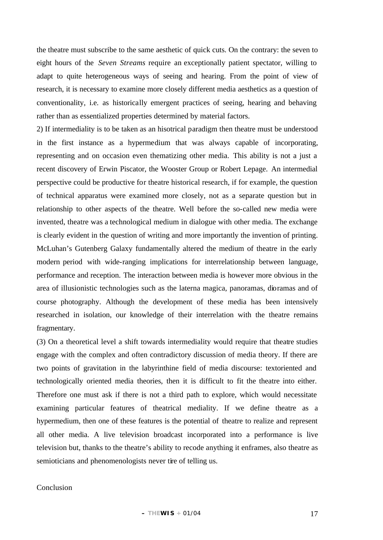the theatre must subscribe to the same aesthetic of quick cuts. On the contrary: the seven to eight hours of the *Seven Streams* require an exceptionally patient spectator, willing to adapt to quite heterogeneous ways of seeing and hearing. From the point of view of research, it is necessary to examine more closely different media aesthetics as a question of conventionality, i.e. as historically emergent practices of seeing, hearing and behaving rather than as essentialized properties determined by material factors.

2) If intermediality is to be taken as an hisotrical paradigm then theatre must be understood in the first instance as a hypermedium that was always capable of incorporating, representing and on occasion even thematizing other media. This ability is not a just a recent discovery of Erwin Piscator, the Wooster Group or Robert Lepage. An intermedial perspective could be productive for theatre historical research, if for example, the question of technical apparatus were examined more closely, not as a separate question but in relationship to other aspects of the theatre. Well before the so-called new media were invented, theatre was a technological medium in dialogue with other media. The exchange is clearly evident in the question of writing and more importantly the invention of printing. McLuhan's Gutenberg Galaxy fundamentally altered the medium of theatre in the early modern period with wide-ranging implications for interrelationship between language, performance and reception. The interaction between media is however more obvious in the area of illusionistic technologies such as the laterna magica, panoramas, dioramas and of course photography. Although the development of these media has been intensively researched in isolation, our knowledge of their interrelation with the theatre remains fragmentary.

(3) On a theoretical level a shift towards intermediality would require that theatre studies engage with the complex and often contradictory discussion of media theory. If there are two points of gravitation in the labyrinthine field of media discourse: textoriented and technologically oriented media theories, then it is difficult to fit the theatre into either. Therefore one must ask if there is not a third path to explore, which would necessitate examining particular features of theatrical mediality. If we define theatre as a hypermedium, then one of these features is the potential of theatre to realize and represent all other media. A live television broadcast incorporated into a performance is live television but, thanks to the theatre's ability to recode anything it enframes, also theatre as semioticians and phenomenologists never tire of telling us.

## Conclusion